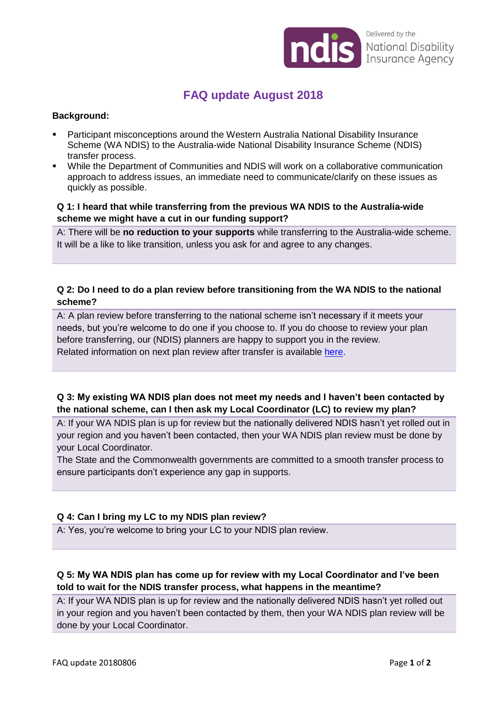

Delivered by the National Disability<br>Insurance Agency

# **FAQ update August 2018**

#### **Background:**

- Participant misconceptions around the Western Australia National Disability Insurance Scheme (WA NDIS) to the Australia-wide National Disability Insurance Scheme (NDIS) transfer process.
- While the Department of Communities and NDIS will work on a collaborative communication approach to address issues, an immediate need to communicate/clarify on these issues as quickly as possible.

#### **Q 1: I heard that while transferring from the previous WA NDIS to the Australia-wide scheme we might have a cut in our funding support?**

A: There will be **no reduction to your supports** while transferring to the Australia-wide scheme. It will be a like to like transition, unless you ask for and agree to any changes.

# **Q 2: Do I need to do a plan review before transitioning from the WA NDIS to the national scheme?**

A: A plan review before transferring to the national scheme isn't necessary if it meets your needs, but you're welcome to do one if you choose to. If you do choose to review your plan before transferring, our (NDIS) planners are happy to support you in the review. Related information on next plan review after transfer is available [here.](https://www.ndis.gov.au/about-us/our-sites/WA/qanda.html)

## **Q 3: My existing WA NDIS plan does not meet my needs and I haven't been contacted by the national scheme, can I then ask my Local Coordinator (LC) to review my plan?**

A: If your WA NDIS plan is up for review but the nationally delivered NDIS hasn't yet rolled out in your region and you haven't been contacted, then your WA NDIS plan review must be done by your Local Coordinator.

The State and the Commonwealth governments are committed to a smooth transfer process to ensure participants don't experience any gap in supports.

## **Q 4: Can I bring my LC to my NDIS plan review?**

A: Yes, you're welcome to bring your LC to your NDIS plan review.

## **Q 5: My WA NDIS plan has come up for review with my Local Coordinator and I've been told to wait for the NDIS transfer process, what happens in the meantime?**

A: If your WA NDIS plan is up for review and the nationally delivered NDIS hasn't yet rolled out in your region and you haven't been contacted by them, then your WA NDIS plan review will be done by your Local Coordinator.